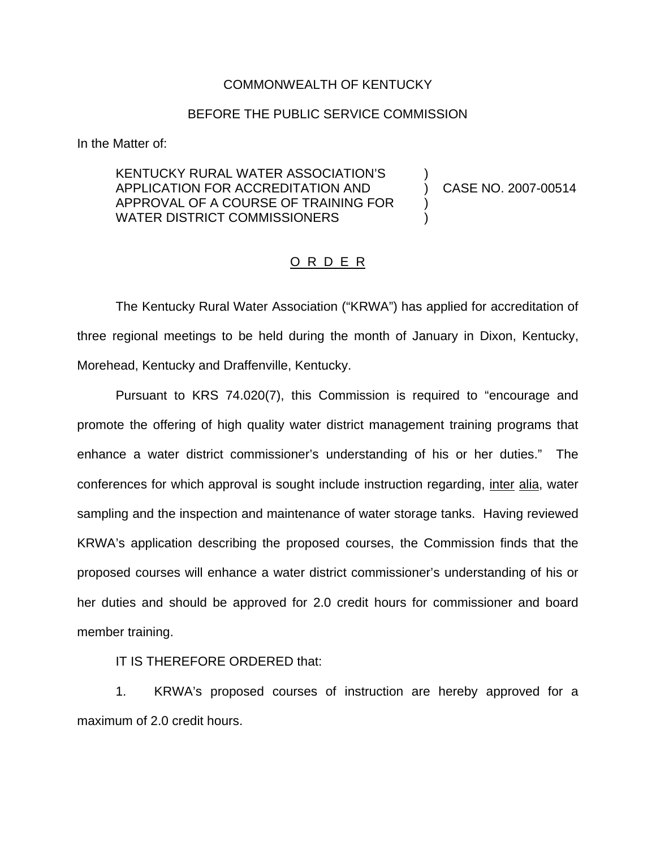## COMMONWEALTH OF KENTUCKY

## BEFORE THE PUBLIC SERVICE COMMISSION

In the Matter of:

## KENTUCKY RURAL WATER ASSOCIATION'S ) APPLICATION FOR ACCREDITATION AND ) CASE NO. 2007-00514 APPROVAL OF A COURSE OF TRAINING FOR ) WATER DISTRICT COMMISSIONERS

## O R D E R

The Kentucky Rural Water Association ("KRWA") has applied for accreditation of three regional meetings to be held during the month of January in Dixon, Kentucky, Morehead, Kentucky and Draffenville, Kentucky.

Pursuant to KRS 74.020(7), this Commission is required to "encourage and promote the offering of high quality water district management training programs that enhance a water district commissioner's understanding of his or her duties." The conferences for which approval is sought include instruction regarding, inter alia, water sampling and the inspection and maintenance of water storage tanks. Having reviewed KRWA's application describing the proposed courses, the Commission finds that the proposed courses will enhance a water district commissioner's understanding of his or her duties and should be approved for 2.0 credit hours for commissioner and board member training.

IT IS THEREFORE ORDERED that:

1. KRWA's proposed courses of instruction are hereby approved for a maximum of 2.0 credit hours.